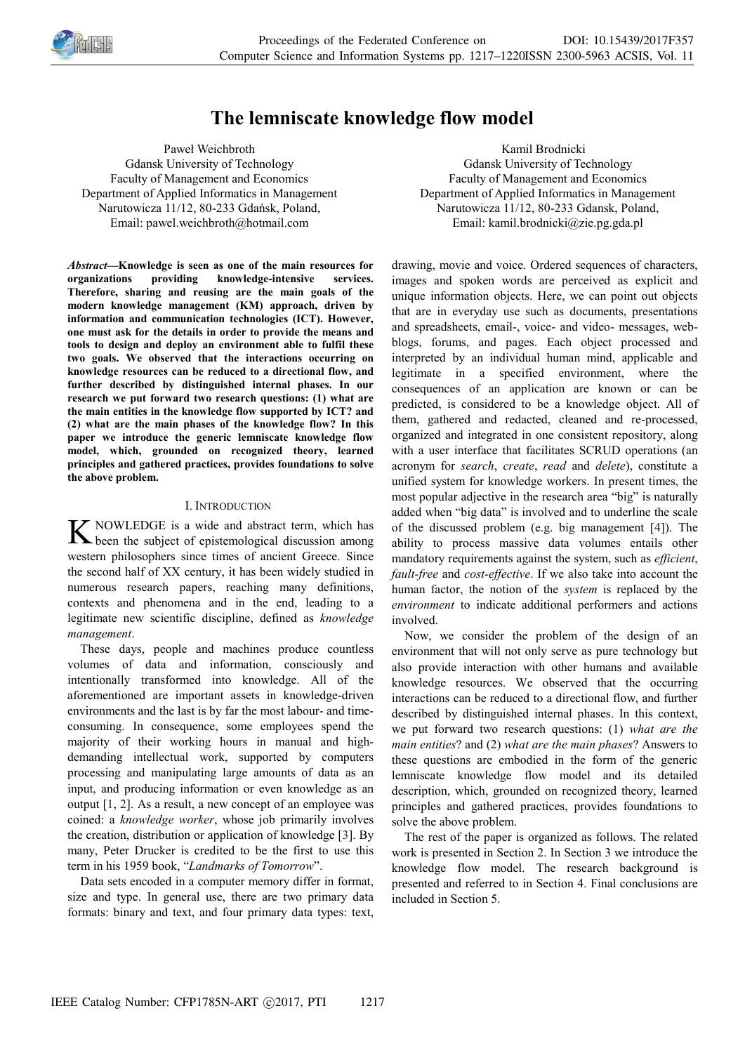

# **The lemniscate knowledge flow model**

Paweł Weichbroth Gdansk University of Technology Faculty of Management and Economics Department of Applied Informatics in Management Narutowicza 11/12, 80-233 Gdańsk, Poland, Email: pawel.weichbroth@hotmail.com

*Abstract—***Knowledge is seen as one of the main resources for organizations providing knowledge-intensive services. Therefore, sharing and reusing are the main goals of the modern knowledge management (KM) approach, driven by information and communication technologies (ICT). However, one must ask for the details in order to provide the means and tools to design and deploy an environment able to fulfil these two goals. We observed that the interactions occurring on knowledge resources can be reduced to a directional flow, and further described by distinguished internal phases. In our research we put forward two research questions: (1) what are the main entities in the knowledge flow supported by ICT? and (2) what are the main phases of the knowledge flow? In this paper we introduce the generic lemniscate knowledge flow model, which, grounded on recognized theory, learned principles and gathered practices, provides foundations to solve the above problem.**

### I. INTRODUCTION

NOWLEDGE is a wide and abstract term, which has K NOWLEDGE is a wide and abstract term, which has been the subject of epistemological discussion among western philosophers since times of ancient Greece. Since the second half of XX century, it has been widely studied in numerous research papers, reaching many definitions, contexts and phenomena and in the end, leading to a legitimate new scientific discipline, defined as *knowledge management*.

These days, people and machines produce countless volumes of data and information, consciously and intentionally transformed into knowledge. All of the aforementioned are important assets in knowledge-driven environments and the last is by far the most labour- and timeconsuming. In consequence, some employees spend the majority of their working hours in manual and highdemanding intellectual work, supported by computers processing and manipulating large amounts of data as an input, and producing information or even knowledge as an output [1, 2]. As a result, a new concept of an employee was coined: a *knowledge worker*, whose job primarily involves the creation, distribution or application of knowledge [3]. By many, Peter Drucker is credited to be the first to use this term in his 1959 book, "*Landmarks of Tomorrow*" .

Data sets encoded in a computer memory differ in format, size and type. In general use, there are two primary data formats: binary and text, and four primary data types: text,

 Kamil Brodnicki Gdansk University of Technology Faculty of Management and Economics Department of Applied Informatics in Management Narutowicza 11/12, 80-233 Gdansk, Poland, Email: kamil.brodnicki@zie.pg.gda.pl

drawing, movie and voice. Ordered sequences of characters, images and spoken words are perceived as explicit and unique information objects. Here, we can point out objects that are in everyday use such as documents, presentations and spreadsheets, email-, voice- and video- messages, webblogs, forums, and pages. Each object processed and interpreted by an individual human mind, applicable and legitimate in a specified environment, where the consequences of an application are known or can be predicted, is considered to be a knowledge object. All of them, gathered and redacted, cleaned and re-processed, organized and integrated in one consistent repository, along with a user interface that facilitates SCRUD operations (an acronym for *search*, *create*, *read* and *delete*), constitute a unified system for knowledge workers. In present times, the most popular adjective in the research area "big" is naturally added when "big data" is involved and to underline the scale of the discussed problem (e.g. big management [4]). The ability to process massive data volumes entails other mandatory requirements against the system, such as *efficient*, *fault-free* and *cost-effective*. If we also take into account the human factor, the notion of the *system* is replaced by the *environment* to indicate additional performers and actions involved.

Now, we consider the problem of the design of an environment that will not only serve as pure technology but also provide interaction with other humans and available knowledge resources. We observed that the occurring interactions can be reduced to a directional flow, and further described by distinguished internal phases. In this context, we put forward two research questions: (1) *what are the main entities*? and (2) *what are the main phases*? Answers to these questions are embodied in the form of the generic lemniscate knowledge flow model and its detailed description, which, grounded on recognized theory, learned principles and gathered practices, provides foundations to solve the above problem.

The rest of the paper is organized as follows. The related work is presented in Section 2. In Section 3 we introduce the knowledge flow model. The research background is presented and referred to in Section 4. Final conclusions are included in Section 5.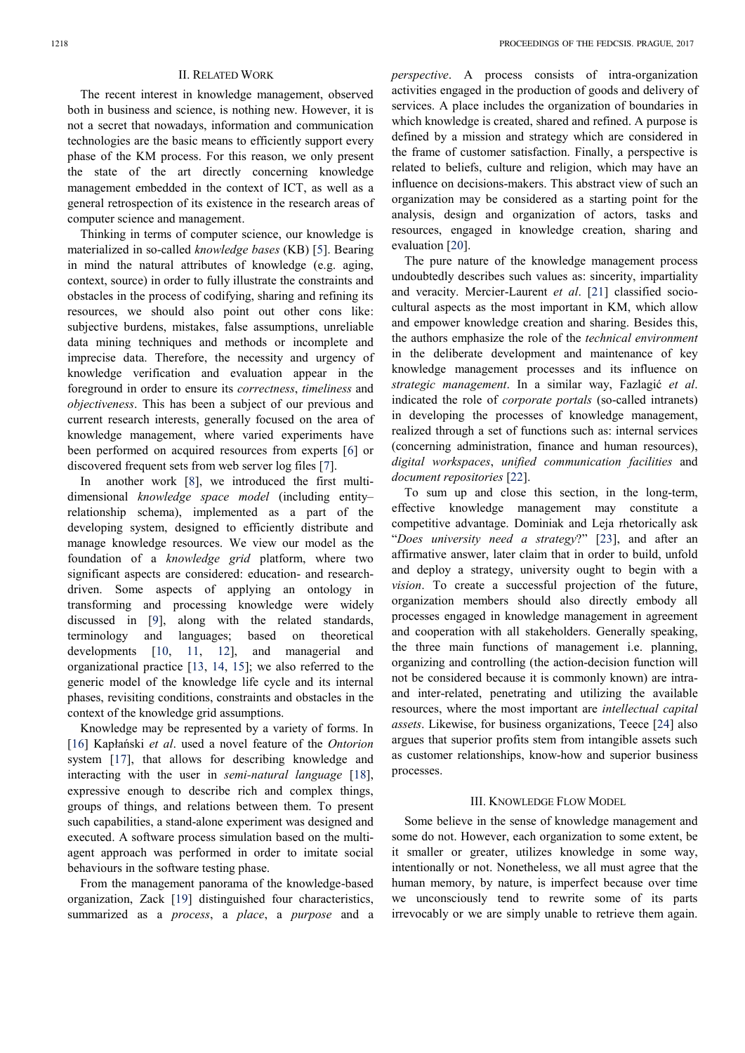# II. RELATED WORK

The recent interest in knowledge management, observed both in business and science, is nothing new. However, it is not a secret that nowadays, information and communication technologies are the basic means to efficiently support every phase of the KM process. For this reason, we only present the state of the art directly concerning knowledge management embedded in the context of ICT, as well as a general retrospection of its existence in the research areas of computer science and management.

Thinking in terms of computer science, our knowledge is materialized in so-called *knowledge bases* (KB) [5]. Bearing in mind the natural attributes of knowledge (e.g. aging, context, source) in order to fully illustrate the constraints and obstacles in the process of codifying, sharing and refining its resources, we should also point out other cons like: subjective burdens, mistakes, false assumptions, unreliable data mining techniques and methods or incomplete and imprecise data. Therefore, the necessity and urgency of knowledge verification and evaluation appear in the foreground in order to ensure its *correctness*, *timeliness* and *objectiveness*. This has been a subject of our previous and current research interests, generally focused on the area of knowledge management, where varied experiments have been performed on acquired resources from experts [6] or discovered frequent sets from web server log files [7].

In another work [8], we introduced the first multidimensional *knowledge space model* (including entity– relationship schema), implemented as a part of the developing system, designed to efficiently distribute and manage knowledge resources. We view our model as the foundation of a *knowledge grid* platform, where two significant aspects are considered: education- and researchdriven. Some aspects of applying an ontology in transforming and processing knowledge were widely discussed in [9], along with the related standards, terminology and languages; based on theoretical developments [10, 11, 12], and managerial and organizational practice [13, 14, 15]; we also referred to the generic model of the knowledge life cycle and its internal phases, revisiting conditions, constraints and obstacles in the context of the knowledge grid assumptions.

Knowledge may be represented by a variety of forms. In [16] Kapłański *et al*. used a novel feature of the *Ontorion* system [17], that allows for describing knowledge and interacting with the user in *semi-natural language* [18], expressive enough to describe rich and complex things, groups of things, and relations between them. To present such capabilities, a stand-alone experiment was designed and executed. A software process simulation based on the multiagent approach was performed in order to imitate social behaviours in the software testing phase.

From the management panorama of the knowledge-based organization, Zack [19] distinguished four characteristics, summarized as a *process*, a *place*, a *purpose* and a *perspective*. A process consists of intra-organization activities engaged in the production of goods and delivery of services. A place includes the organization of boundaries in which knowledge is created, shared and refined. A purpose is defined by a mission and strategy which are considered in the frame of customer satisfaction. Finally, a perspective is related to beliefs, culture and religion, which may have an influence on decisions-makers. This abstract view of such an organization may be considered as a starting point for the analysis, design and organization of actors, tasks and resources, engaged in knowledge creation, sharing and evaluation [20].

The pure nature of the knowledge management process undoubtedly describes such values as: sincerity, impartiality and veracity. Mercier-Laurent *et al*. [21] classified sociocultural aspects as the most important in KM, which allow and empower knowledge creation and sharing. Besides this, the authors emphasize the role of the *technical environment* in the deliberate development and maintenance of key knowledge management processes and its influence on *strategic management*. In a similar way, Fazlagić *et al*. indicated the role of *corporate portals* (so-called intranets) in developing the processes of knowledge management, realized through a set of functions such as: internal services (concerning administration, finance and human resources), *digital workspaces*, *unified communication facilities* and *document repositories* [22].

To sum up and close this section, in the long-term, effective knowledge management may constitute a competitive advantage. Dominiak and Leja rhetorically ask "*Does university need a strategy*?" [23], and after an affirmative answer, later claim that in order to build, unfold and deploy a strategy, university ought to begin with a *vision*. To create a successful projection of the future, organization members should also directly embody all processes engaged in knowledge management in agreement and cooperation with all stakeholders. Generally speaking, the three main functions of management i.e. planning, organizing and controlling (the action-decision function will not be considered because it is commonly known) are intraand inter-related, penetrating and utilizing the available resources, where the most important are *intellectual capital assets*. Likewise, for business organizations, Teece [24] also argues that superior profits stem from intangible assets such as customer relationships, know-how and superior business processes.

## III. KNOWLEDGE FLOW MODEL

Some believe in the sense of knowledge management and some do not. However, each organization to some extent, be it smaller or greater, utilizes knowledge in some way, intentionally or not. Nonetheless, we all must agree that the human memory, by nature, is imperfect because over time we unconsciously tend to rewrite some of its parts irrevocably or we are simply unable to retrieve them again.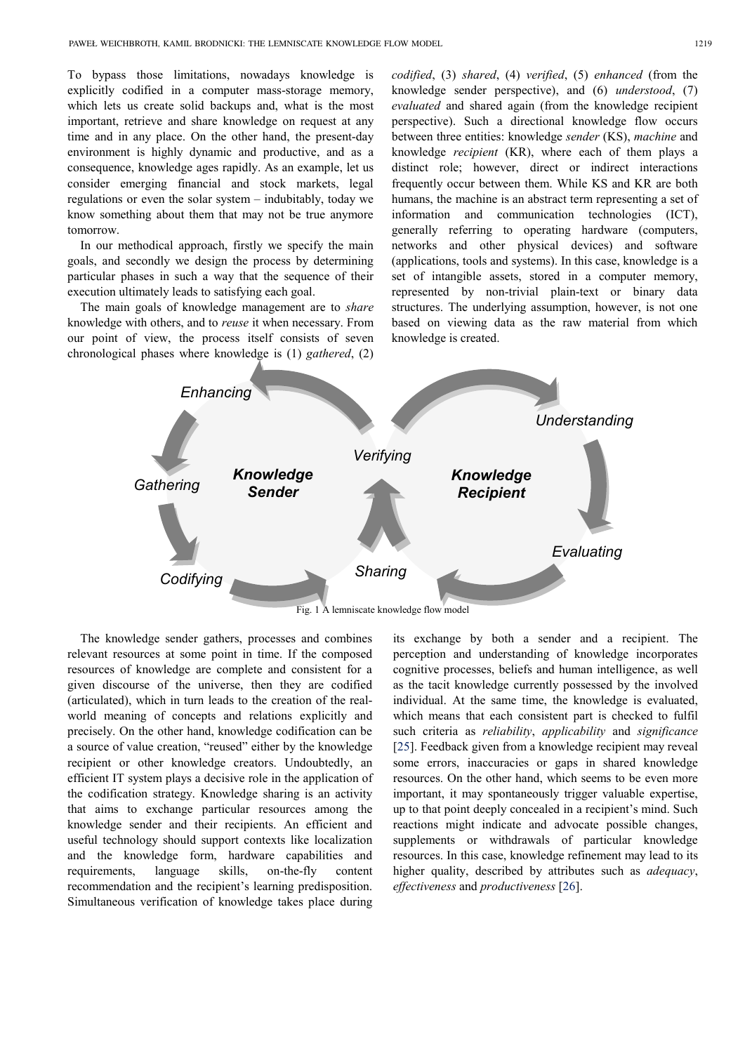To bypass those limitations, nowadays knowledge is explicitly codified in a computer mass-storage memory, which lets us create solid backups and, what is the most important, retrieve and share knowledge on request at any time and in any place. On the other hand, the present-day environment is highly dynamic and productive, and as a consequence, knowledge ages rapidly. As an example, let us consider emerging financial and stock markets, legal regulations or even the solar system – indubitably, today we know something about them that may not be true anymore tomorrow.

In our methodical approach, firstly we specify the main goals, and secondly we design the process by determining particular phases in such a way that the sequence of their execution ultimately leads to satisfying each goal.

The main goals of knowledge management are to *share* knowledge with others, and to *reuse* it when necessary. From our point of view, the process itself consists of seven chronological phases where knowledge is (1) *gathered*, (2)

*codified*, (3) *shared*, (4) *verified*, (5) *enhanced* (from the knowledge sender perspective), and (6) *understood*, (7) *evaluated* and shared again (from the knowledge recipient perspective). Such a directional knowledge flow occurs between three entities: knowledge *sender* (KS), *machine* and knowledge *recipient* (KR), where each of them plays a distinct role; however, direct or indirect interactions frequently occur between them. While KS and KR are both humans, the machine is an abstract term representing a set of information and communication technologies (ICT), generally referring to operating hardware (computers, networks and other physical devices) and software (applications, tools and systems). In this case, knowledge is a set of intangible assets, stored in a computer memory, represented by non-trivial plain-text or binary data structures. The underlying assumption, however, is not one based on viewing data as the raw material from which knowledge is created.



Fig. 1 A lemniscate knowledge flow model

The knowledge sender gathers, processes and combines relevant resources at some point in time. If the composed resources of knowledge are complete and consistent for a given discourse of the universe, then they are codified (articulated), which in turn leads to the creation of the realworld meaning of concepts and relations explicitly and precisely. On the other hand, knowledge codification can be a source of value creation, "reused" either by the knowledge recipient or other knowledge creators. Undoubtedly, an efficient IT system plays a decisive role in the application of the codification strategy. Knowledge sharing is an activity that aims to exchange particular resources among the knowledge sender and their recipients. An efficient and useful technology should support contexts like localization and the knowledge form, hardware capabilities and requirements, language skills, on-the-fly content recommendation and the recipient's learning predisposition. Simultaneous verification of knowledge takes place during

its exchange by both a sender and a recipient. The perception and understanding of knowledge incorporates cognitive processes, beliefs and human intelligence, as well as the tacit knowledge currently possessed by the involved individual. At the same time, the knowledge is evaluated, which means that each consistent part is checked to fulfil such criteria as *reliability*, *applicability* and *significance* [25]. Feedback given from a knowledge recipient may reveal some errors, inaccuracies or gaps in shared knowledge resources. On the other hand, which seems to be even more important, it may spontaneously trigger valuable expertise, up to that point deeply concealed in a recipient's mind. Such reactions might indicate and advocate possible changes, supplements or withdrawals of particular knowledge resources. In this case, knowledge refinement may lead to its higher quality, described by attributes such as *adequacy*, *effectiveness* and *productiveness* [26].